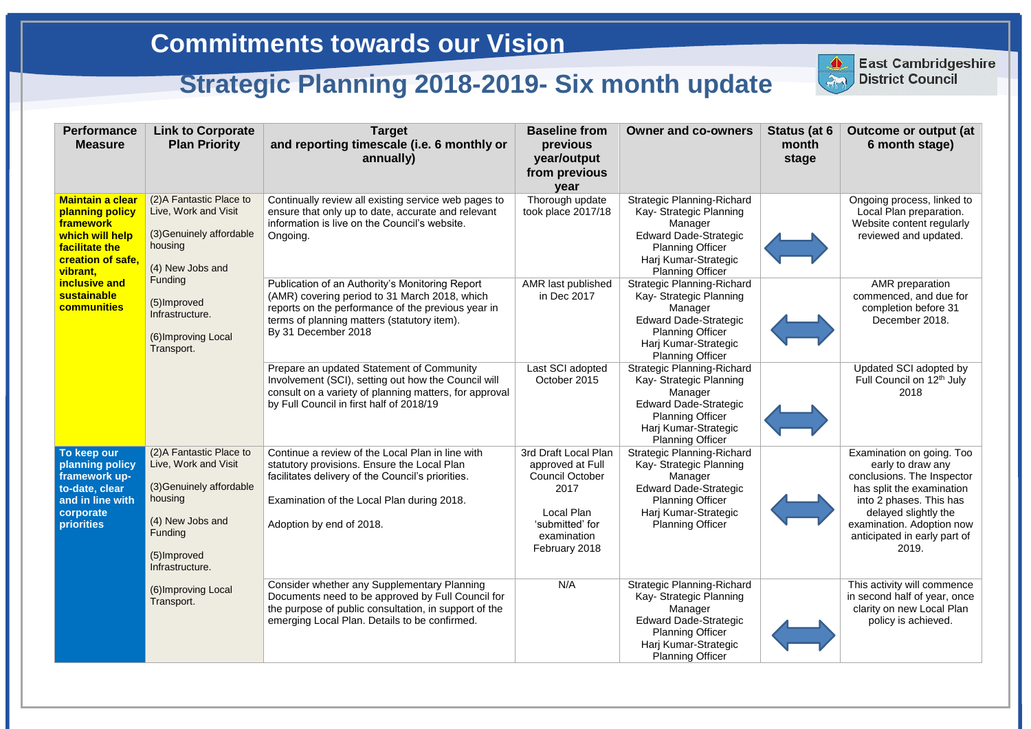| <b>Performance</b><br><b>Measure</b>                                                                                                                                                       | <b>Link to Corporate</b><br><b>Plan Priority</b>                                                                                                                 | <b>Target</b><br>and reporting timescale (i.e. 6 monthly or<br>annually)                                                                                                                                                                                                                                                                                                                                | <b>Baseline from</b><br>previous<br>year/output<br>from previous<br>year                                                                    | <b>Owner and co-owners</b>                                                                                                                                                            | Status (at 6<br>month<br>stage | <b>Outcome or output (at</b><br>6 month stage)                                                                                                                                                                                     |
|--------------------------------------------------------------------------------------------------------------------------------------------------------------------------------------------|------------------------------------------------------------------------------------------------------------------------------------------------------------------|---------------------------------------------------------------------------------------------------------------------------------------------------------------------------------------------------------------------------------------------------------------------------------------------------------------------------------------------------------------------------------------------------------|---------------------------------------------------------------------------------------------------------------------------------------------|---------------------------------------------------------------------------------------------------------------------------------------------------------------------------------------|--------------------------------|------------------------------------------------------------------------------------------------------------------------------------------------------------------------------------------------------------------------------------|
| <b>Maintain a clear</b><br>planning policy<br>framework<br>which will help<br>facilitate the<br>creation of safe,<br>vibrant,<br>inclusive and<br><b>sustainable</b><br><b>communities</b> | (2) A Fantastic Place to<br>Live, Work and Visit<br>(3) Genuinely affordable<br>housing<br>(4) New Jobs and                                                      | Continually review all existing service web pages to<br>ensure that only up to date, accurate and relevant<br>information is live on the Council's website.<br>Ongoing.<br>Publication of an Authority's Monitoring Report<br>(AMR) covering period to 31 March 2018, which<br>reports on the performance of the previous year in<br>terms of planning matters (statutory item).<br>By 31 December 2018 | Thorough update<br>took place 2017/18                                                                                                       | <b>Strategic Planning-Richard</b><br>Kay- Strategic Planning<br>Manager<br><b>Edward Dade-Strategic</b><br><b>Planning Officer</b><br>Harj Kumar-Strategic<br><b>Planning Officer</b> |                                | Ongoing process, linked to<br>Local Plan preparation.<br>Website content regularly<br>reviewed and updated.                                                                                                                        |
|                                                                                                                                                                                            | <b>Funding</b><br>(5) Improved<br>Infrastructure.<br>(6) Improving Local<br>Transport.                                                                           |                                                                                                                                                                                                                                                                                                                                                                                                         | AMR last published<br>in Dec 2017                                                                                                           | <b>Strategic Planning-Richard</b><br>Kay- Strategic Planning<br>Manager<br><b>Edward Dade-Strategic</b><br><b>Planning Officer</b><br>Harj Kumar-Strategic<br><b>Planning Officer</b> |                                | AMR preparation<br>commenced, and due for<br>completion before 31<br>December 2018.                                                                                                                                                |
|                                                                                                                                                                                            |                                                                                                                                                                  | Prepare an updated Statement of Community<br>Involvement (SCI), setting out how the Council will<br>consult on a variety of planning matters, for approval<br>by Full Council in first half of 2018/19                                                                                                                                                                                                  | Last SCI adopted<br>October 2015                                                                                                            | <b>Strategic Planning-Richard</b><br>Kay- Strategic Planning<br>Manager<br><b>Edward Dade-Strategic</b><br><b>Planning Officer</b><br>Harj Kumar-Strategic<br><b>Planning Officer</b> |                                | Updated SCI adopted by<br>Full Council on 12 <sup>th</sup> July<br>2018                                                                                                                                                            |
| To keep our<br>planning policy<br>framework up-<br>to-date, clear<br>and in line with<br>corporate<br><b>priorities</b>                                                                    | (2) A Fantastic Place to<br>Live, Work and Visit<br>(3) Genuinely affordable<br>housing<br>(4) New Jobs and<br><b>Funding</b><br>(5) Improved<br>Infrastructure. | Continue a review of the Local Plan in line with<br>statutory provisions. Ensure the Local Plan<br>facilitates delivery of the Council's priorities.<br>Examination of the Local Plan during 2018.<br>Adoption by end of 2018.                                                                                                                                                                          | 3rd Draft Local Plan<br>approved at Full<br><b>Council October</b><br>2017<br>Local Plan<br>'submitted' for<br>examination<br>February 2018 | <b>Strategic Planning-Richard</b><br>Kay- Strategic Planning<br>Manager<br><b>Edward Dade-Strategic</b><br><b>Planning Officer</b><br>Harj Kumar-Strategic<br><b>Planning Officer</b> |                                | Examination on going. Too<br>early to draw any<br>conclusions. The Inspector<br>has split the examination<br>into 2 phases. This has<br>delayed slightly the<br>examination. Adoption now<br>anticipated in early part of<br>2019. |
|                                                                                                                                                                                            | (6) Improving Local<br>Transport.                                                                                                                                | Consider whether any Supplementary Planning<br>Documents need to be approved by Full Council for<br>the purpose of public consultation, in support of the<br>emerging Local Plan. Details to be confirmed.                                                                                                                                                                                              | N/A                                                                                                                                         | <b>Strategic Planning-Richard</b><br>Kay- Strategic Planning<br>Manager<br><b>Edward Dade-Strategic</b><br><b>Planning Officer</b><br>Harj Kumar-Strategic<br><b>Planning Officer</b> |                                | This activity will commence<br>in second half of year, once<br>clarity on new Local Plan<br>policy is achieved.                                                                                                                    |



**East Cambridgeshire District Council**

## **Strategic Planning 2018-2019- Six month update**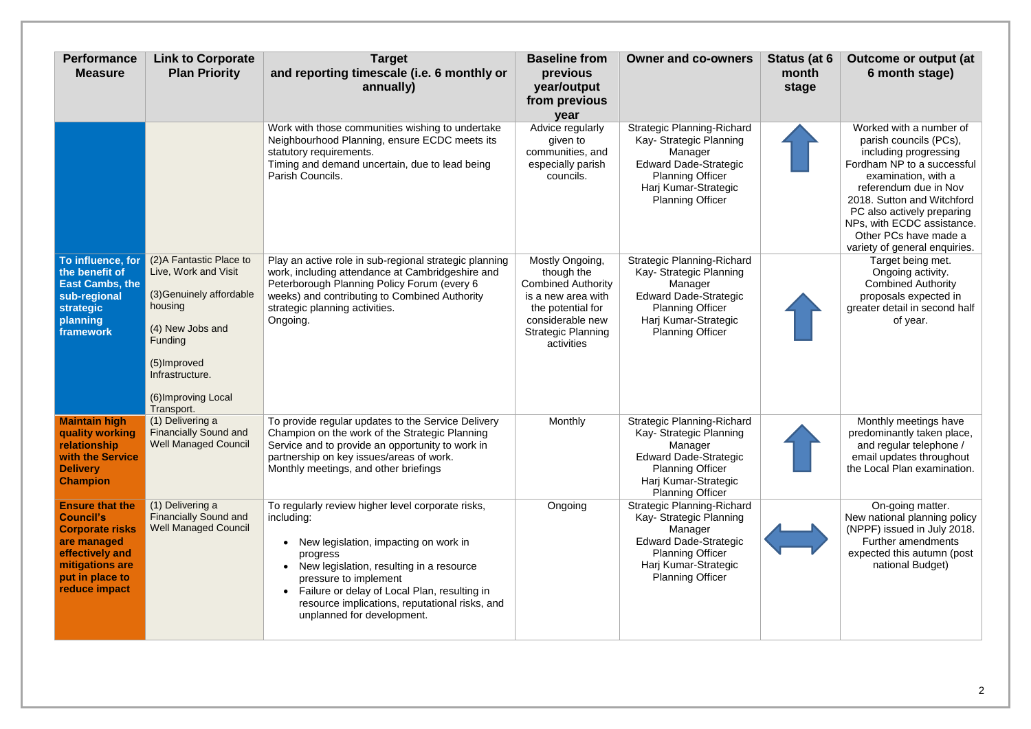| <b>Performance</b><br><b>Measure</b>                                                                                                                          | <b>Link to Corporate</b><br><b>Plan Priority</b>                                                                                                                                                      | <b>Target</b><br>and reporting timescale (i.e. 6 monthly or<br>annually)                                                                                                                                                                                                                                                  | <b>Baseline from</b><br>previous<br>year/output<br>from previous<br>year                                                                                             | <b>Owner and co-owners</b>                                                                                                                                                            | Status (at 6<br>month<br>stage | Outcome or output (at<br>6 month stage)                                                                                                                                                                                                                                                                      |
|---------------------------------------------------------------------------------------------------------------------------------------------------------------|-------------------------------------------------------------------------------------------------------------------------------------------------------------------------------------------------------|---------------------------------------------------------------------------------------------------------------------------------------------------------------------------------------------------------------------------------------------------------------------------------------------------------------------------|----------------------------------------------------------------------------------------------------------------------------------------------------------------------|---------------------------------------------------------------------------------------------------------------------------------------------------------------------------------------|--------------------------------|--------------------------------------------------------------------------------------------------------------------------------------------------------------------------------------------------------------------------------------------------------------------------------------------------------------|
|                                                                                                                                                               |                                                                                                                                                                                                       | Work with those communities wishing to undertake<br>Neighbourhood Planning, ensure ECDC meets its<br>statutory requirements.<br>Timing and demand uncertain, due to lead being<br>Parish Councils.                                                                                                                        | Advice regularly<br>given to<br>communities, and<br>especially parish<br>councils.                                                                                   | <b>Strategic Planning-Richard</b><br>Kay- Strategic Planning<br>Manager<br><b>Edward Dade-Strategic</b><br><b>Planning Officer</b><br>Harj Kumar-Strategic<br><b>Planning Officer</b> |                                | Worked with a number of<br>parish councils (PCs),<br>including progressing<br>Fordham NP to a successful<br>examination, with a<br>referendum due in Nov<br>2018. Sutton and Witchford<br>PC also actively preparing<br>NPs, with ECDC assistance.<br>Other PCs have made a<br>variety of general enquiries. |
| To influence, for<br>the benefit of<br><b>East Cambs, the</b><br>sub-regional<br>strategic<br>planning<br>framework                                           | (2) A Fantastic Place to<br>Live, Work and Visit<br>(3) Genuinely affordable<br>housing<br>(4) New Jobs and<br><b>Funding</b><br>(5) Improved<br>Infrastructure.<br>(6) Improving Local<br>Transport. | Play an active role in sub-regional strategic planning<br>work, including attendance at Cambridgeshire and<br>Peterborough Planning Policy Forum (every 6<br>weeks) and contributing to Combined Authority<br>strategic planning activities.<br>Ongoing.                                                                  | Mostly Ongoing,<br>though the<br><b>Combined Authority</b><br>is a new area with<br>the potential for<br>considerable new<br><b>Strategic Planning</b><br>activities | <b>Strategic Planning-Richard</b><br>Kay- Strategic Planning<br>Manager<br><b>Edward Dade-Strategic</b><br><b>Planning Officer</b><br>Harj Kumar-Strategic<br><b>Planning Officer</b> |                                | Target being met.<br>Ongoing activity.<br><b>Combined Authority</b><br>proposals expected in<br>greater detail in second half<br>of year.                                                                                                                                                                    |
| <b>Maintain high</b><br>quality working<br>relationship<br>with the Service<br><b>Delivery</b><br><b>Champion</b>                                             | (1) Delivering a<br><b>Financially Sound and</b><br><b>Well Managed Council</b>                                                                                                                       | To provide regular updates to the Service Delivery<br>Champion on the work of the Strategic Planning<br>Service and to provide an opportunity to work in<br>partnership on key issues/areas of work.<br>Monthly meetings, and other briefings                                                                             | Monthly                                                                                                                                                              | <b>Strategic Planning-Richard</b><br>Kay- Strategic Planning<br>Manager<br><b>Edward Dade-Strategic</b><br><b>Planning Officer</b><br>Harj Kumar-Strategic<br><b>Planning Officer</b> |                                | Monthly meetings have<br>predominantly taken place,<br>and regular telephone /<br>email updates throughout<br>the Local Plan examination.                                                                                                                                                                    |
| <b>Ensure that the</b><br><b>Council's</b><br><b>Corporate risks</b><br>are managed<br>effectively and<br>mitigations are<br>put in place to<br>reduce impact | (1) Delivering a<br><b>Financially Sound and</b><br><b>Well Managed Council</b>                                                                                                                       | To regularly review higher level corporate risks,<br>including:<br>New legislation, impacting on work in<br>progress<br>New legislation, resulting in a resource<br>pressure to implement<br>Failure or delay of Local Plan, resulting in<br>resource implications, reputational risks, and<br>unplanned for development. | Ongoing                                                                                                                                                              | <b>Strategic Planning-Richard</b><br>Kay- Strategic Planning<br>Manager<br><b>Edward Dade-Strategic</b><br><b>Planning Officer</b><br>Harj Kumar-Strategic<br><b>Planning Officer</b> |                                | On-going matter.<br>New national planning policy<br>(NPPF) issued in July 2018.<br><b>Further amendments</b><br>expected this autumn (post<br>national Budget)                                                                                                                                               |